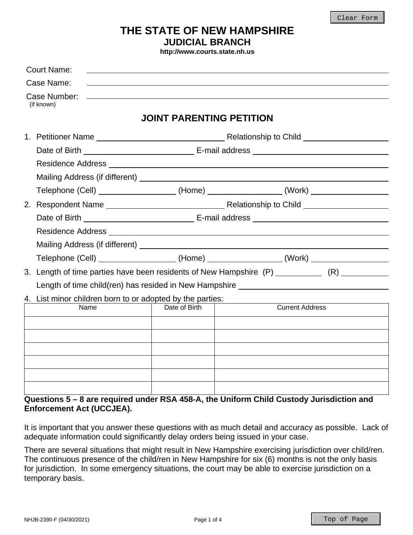# **THE STATE OF NEW HAMPSHIRE JUDICIAL BRANCH**

**http://www.courts.state.nh.us**

| <b>Court Name:</b>                                                                            |                                 |                        |  |  |  |
|-----------------------------------------------------------------------------------------------|---------------------------------|------------------------|--|--|--|
| Case Name:                                                                                    |                                 |                        |  |  |  |
| Case Number:<br>(if known)                                                                    |                                 |                        |  |  |  |
|                                                                                               | <b>JOINT PARENTING PETITION</b> |                        |  |  |  |
|                                                                                               |                                 |                        |  |  |  |
|                                                                                               |                                 |                        |  |  |  |
|                                                                                               |                                 |                        |  |  |  |
|                                                                                               |                                 |                        |  |  |  |
| Telephone (Cell) __________________(Home) _______________(Work) ________________              |                                 |                        |  |  |  |
|                                                                                               |                                 |                        |  |  |  |
|                                                                                               |                                 |                        |  |  |  |
|                                                                                               |                                 |                        |  |  |  |
|                                                                                               |                                 |                        |  |  |  |
| Telephone (Cell) ___________________(Home) _______________(Work) _______________              |                                 |                        |  |  |  |
| 3. Length of time parties have been residents of New Hampshire (P) ___________ (R) __________ |                                 |                        |  |  |  |
| Length of time child(ren) has resided in New Hampshire _________________________              |                                 |                        |  |  |  |
| 4. List minor children born to or adopted by the parties:                                     |                                 |                        |  |  |  |
| Name                                                                                          | Date of Birth                   | <b>Current Address</b> |  |  |  |
|                                                                                               |                                 |                        |  |  |  |
|                                                                                               |                                 |                        |  |  |  |
|                                                                                               |                                 |                        |  |  |  |
|                                                                                               |                                 |                        |  |  |  |
|                                                                                               |                                 |                        |  |  |  |
| Questions 5 - 8 are required under RSA 458-A, the Uniform Child Custody Jurisdiction and      |                                 |                        |  |  |  |

# **Enforcement Act (UCCJEA).**

It is important that you answer these questions with as much detail and accuracy as possible. Lack of adequate information could significantly delay orders being issued in your case.

There are several situations that might result in New Hampshire exercising jurisdiction over child/ren. The continuous presence of the child/ren in New Hampshire for six (6) months is not the only basis for jurisdiction. In some emergency situations, the court may be able to exercise jurisdiction on a temporary basis.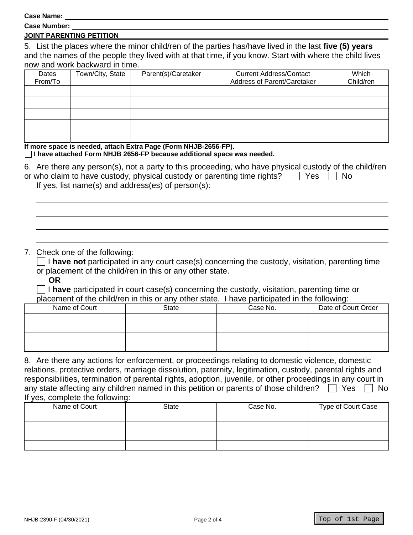**Case Name:** 

| <b>Case Number:</b> |
|---------------------|
|                     |

### **JOINT PARENTING PETITION**

5. List the places where the minor child/ren of the parties has/have lived in the last **five (5) years** and the names of the people they lived with at that time, if you know. Start with where the child lives now and work backward in time.

| Dates<br>From/To | Town/City, State | Parent(s)/Caretaker | <b>Current Address/Contact</b><br>Address of Parent/Caretaker | Which<br>Child/ren |
|------------------|------------------|---------------------|---------------------------------------------------------------|--------------------|
|                  |                  |                     |                                                               |                    |
|                  |                  |                     |                                                               |                    |
|                  |                  |                     |                                                               |                    |
|                  |                  |                     |                                                               |                    |
|                  |                  |                     |                                                               |                    |

#### **If more space is needed, attach Extra Page (Form NHJB-2656-FP). I have attached Form NHJB 2656-FP because additional space was needed.**

| 6. Are there any person(s), not a party to this proceeding, who have physical custody of the child/ren |  |
|--------------------------------------------------------------------------------------------------------|--|
| or who claim to have custody, physical custody or parenting time rights? Thes Theory                   |  |

If yes, list name(s) and address(es) of person(s):

### 7. Check one of the following:

 $\Box$  **I have not** participated in any court case(s) concerning the custody, visitation, parenting time or placement of the child/ren in this or any other state.

**OR**

 I **have** participated in court case(s) concerning the custody, visitation, parenting time or placement of the child/ren in this or any other state. I have participated in the following:

| Name of Court | State | Case No. | Date of Court Order |
|---------------|-------|----------|---------------------|
|               |       |          |                     |
|               |       |          |                     |
|               |       |          |                     |
|               |       |          |                     |

8. Are there any actions for enforcement, or proceedings relating to domestic violence, domestic relations, protective orders, marriage dissolution, paternity, legitimation, custody, parental rights and responsibilities, termination of parental rights, adoption, juvenile, or other proceedings in any court in any state affecting any children named in this petition or parents of those children?  $\Box$  Yes  $\Box$  No If yes, complete the following:

| Name of Court | State | Case No. | Type of Court Case |
|---------------|-------|----------|--------------------|
|               |       |          |                    |
|               |       |          |                    |
|               |       |          |                    |
|               |       |          |                    |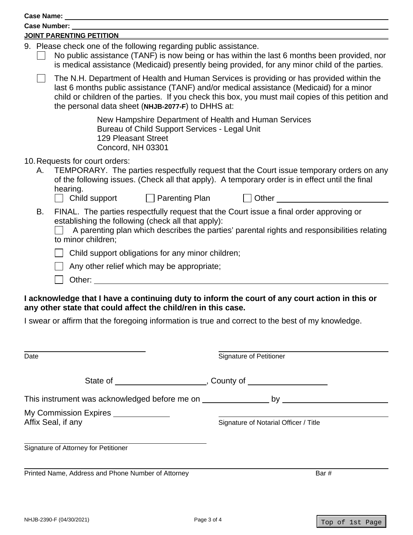| JOINT PARENTING PETITION                                                                                                                                                                                                       |                                                                                                                                                                                                                                                                                                                                                |  |  |  |  |
|--------------------------------------------------------------------------------------------------------------------------------------------------------------------------------------------------------------------------------|------------------------------------------------------------------------------------------------------------------------------------------------------------------------------------------------------------------------------------------------------------------------------------------------------------------------------------------------|--|--|--|--|
|                                                                                                                                                                                                                                | 9. Please check one of the following regarding public assistance.<br>No public assistance (TANF) is now being or has within the last 6 months been provided, nor<br>is medical assistance (Medicaid) presently being provided, for any minor child of the parties.                                                                             |  |  |  |  |
|                                                                                                                                                                                                                                | The N.H. Department of Health and Human Services is providing or has provided within the<br>last 6 months public assistance (TANF) and/or medical assistance (Medicaid) for a minor<br>child or children of the parties. If you check this box, you must mail copies of this petition and<br>the personal data sheet (NHJB-2077-F) to DHHS at: |  |  |  |  |
| <b>129 Pleasant Street</b><br>Concord, NH 03301                                                                                                                                                                                | New Hampshire Department of Health and Human Services<br>Bureau of Child Support Services - Legal Unit                                                                                                                                                                                                                                         |  |  |  |  |
| 10. Requests for court orders:<br>А.<br>hearing.                                                                                                                                                                               | TEMPORARY. The parties respectfully request that the Court issue temporary orders on any<br>of the following issues. (Check all that apply). A temporary order is in effect until the final                                                                                                                                                    |  |  |  |  |
| Child support                                                                                                                                                                                                                  | $\Box$ Parenting Plan $\Box$<br>Other                                                                                                                                                                                                                                                                                                          |  |  |  |  |
| В.<br>establishing the following (check all that apply):<br>to minor children;                                                                                                                                                 | FINAL. The parties respectfully request that the Court issue a final order approving or<br>A parenting plan which describes the parties' parental rights and responsibilities relating                                                                                                                                                         |  |  |  |  |
| Child support obligations for any minor children;                                                                                                                                                                              |                                                                                                                                                                                                                                                                                                                                                |  |  |  |  |
| Any other relief which may be appropriate;                                                                                                                                                                                     |                                                                                                                                                                                                                                                                                                                                                |  |  |  |  |
| Other: when the contract of the contract of the contract of the contract of the contract of the contract of the contract of the contract of the contract of the contract of the contract of the contract of the contract of th |                                                                                                                                                                                                                                                                                                                                                |  |  |  |  |
| any other state that could affect the child/ren in this case.                                                                                                                                                                  | I acknowledge that I have a continuing duty to inform the court of any court action in this or<br>I swear or affirm that the foregoing information is true and correct to the best of my knowledge.                                                                                                                                            |  |  |  |  |
|                                                                                                                                                                                                                                |                                                                                                                                                                                                                                                                                                                                                |  |  |  |  |
| Date                                                                                                                                                                                                                           | Signature of Petitioner                                                                                                                                                                                                                                                                                                                        |  |  |  |  |
|                                                                                                                                                                                                                                |                                                                                                                                                                                                                                                                                                                                                |  |  |  |  |
|                                                                                                                                                                                                                                |                                                                                                                                                                                                                                                                                                                                                |  |  |  |  |
| My Commission Expires                                                                                                                                                                                                          |                                                                                                                                                                                                                                                                                                                                                |  |  |  |  |
| Affix Seal, if any                                                                                                                                                                                                             | Signature of Notarial Officer / Title                                                                                                                                                                                                                                                                                                          |  |  |  |  |
| Signature of Attorney for Petitioner                                                                                                                                                                                           |                                                                                                                                                                                                                                                                                                                                                |  |  |  |  |
| Printed Name, Address and Phone Number of Attorney                                                                                                                                                                             | Bar#                                                                                                                                                                                                                                                                                                                                           |  |  |  |  |
|                                                                                                                                                                                                                                |                                                                                                                                                                                                                                                                                                                                                |  |  |  |  |